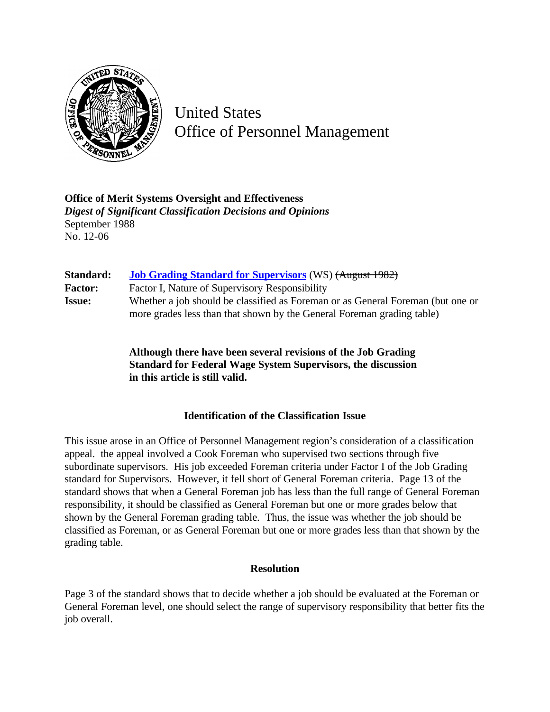

United States Office of Personnel Management

**Office of Merit Systems Oversight and Effectiveness** *Digest of Significant Classification Decisions and Opinions* September 1988 No. 12-06

| Standard:      | <b>Job Grading Standard for Supervisors</b> (WS) (August 1982)                  |
|----------------|---------------------------------------------------------------------------------|
| <b>Factor:</b> | Factor I, Nature of Supervisory Responsibility                                  |
| <b>Issue:</b>  | Whether a job should be classified as Foreman or as General Foreman (but one or |
|                | more grades less than that shown by the General Foreman grading table)          |

**Although there have been several revisions of the Job Grading Standard for Federal Wage System Supervisors, the discussion in this article is still valid.**

## **Identification of the Classification Issue**

This issue arose in an Office of Personnel Management region's consideration of a classification appeal. the appeal involved a Cook Foreman who supervised two sections through five subordinate supervisors. His job exceeded Foreman criteria under Factor I of the Job Grading standard for Supervisors. However, it fell short of General Foreman criteria. Page 13 of the standard shows that when a General Foreman job has less than the full range of General Foreman responsibility, it should be classified as General Foreman but one or more grades below that shown by the General Foreman grading table. Thus, the issue was whether the job should be classified as Foreman, or as General Foreman but one or more grades less than that shown by the grading table.

## **Resolution**

Page 3 of the standard shows that to decide whether a job should be evaluated at the Foreman or General Foreman level, one should select the range of supervisory responsibility that better fits the job overall.